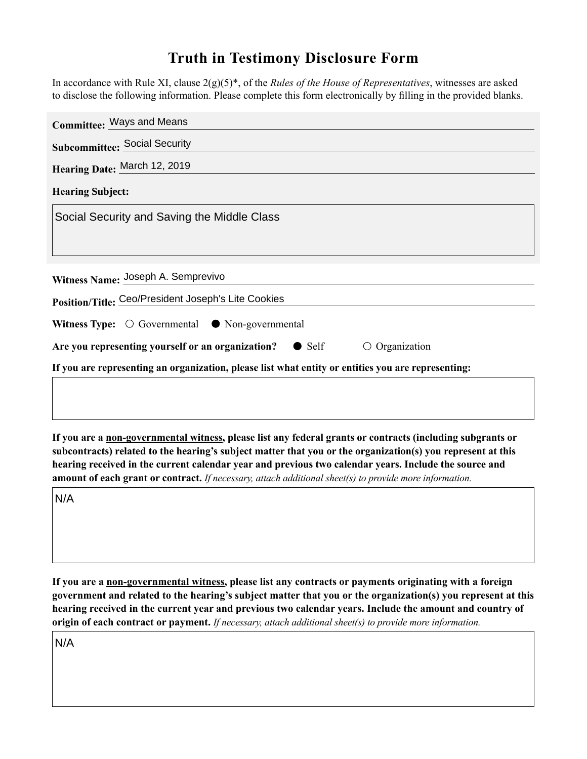## **Truth in Testimony Disclosure Form**

In accordance with Rule XI, clause 2(g)(5)\*, of the *Rules of the House of Representatives*, witnesses are asked to disclose the following information. Please complete this form electronically by filling in the provided blanks.

| <b>Committee: Ways and Means</b>                                                                   |
|----------------------------------------------------------------------------------------------------|
| <b>Subcommittee: Social Security</b>                                                               |
| Hearing Date: March 12, 2019                                                                       |
| <b>Hearing Subject:</b>                                                                            |
| Social Security and Saving the Middle Class                                                        |
|                                                                                                    |
|                                                                                                    |
| Witness Name: Joseph A. Semprevivo                                                                 |
| Position/Title: Ceo/President Joseph's Lite Cookies                                                |
| <b>Witness Type:</b> $\bigcirc$ Governmental $\bullet$ Non-governmental                            |
| Are you representing yourself or an organization?<br>$\bullet$ Self<br>$\circ$ Organization        |
| If you are representing an organization, please list what entity or entities you are representing: |
|                                                                                                    |

**If you are a non-governmental witness, please list any federal grants or contracts (including subgrants or subcontracts) related to the hearing's subject matter that you or the organization(s) you represent at this hearing received in the current calendar year and previous two calendar years. Include the source and amount of each grant or contract.** *If necessary, attach additional sheet(s) to provide more information.*

N/A

**If you are a non-governmental witness, please list any contracts or payments originating with a foreign government and related to the hearing's subject matter that you or the organization(s) you represent at this hearing received in the current year and previous two calendar years. Include the amount and country of origin of each contract or payment.** *If necessary, attach additional sheet(s) to provide more information.*

N/A